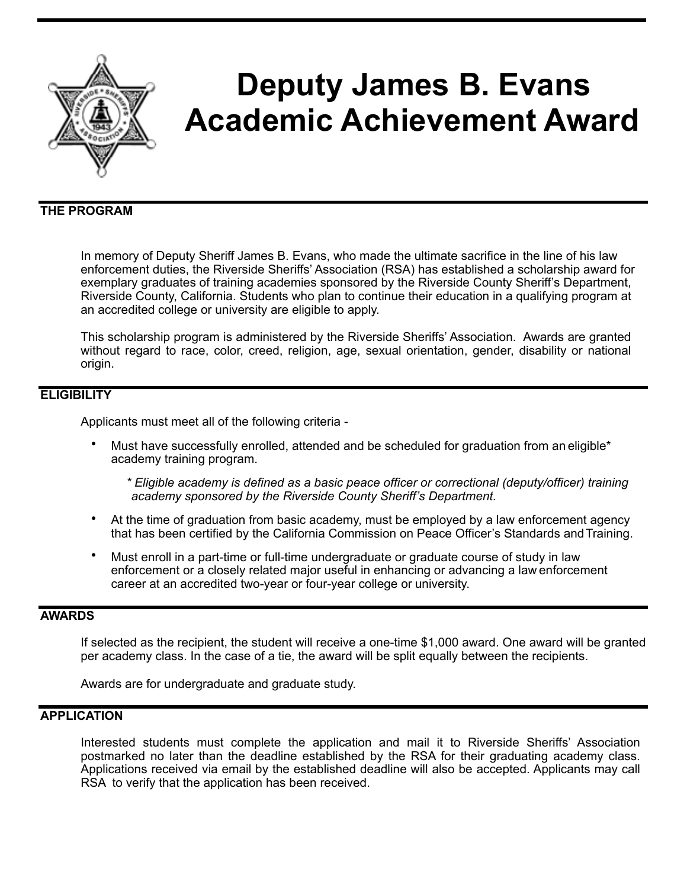

# **Deputy James B. Evans Academic Achievement Award**

## **THE PROGRAM**

In memory of Deputy Sheriff James B. Evans, who made the ultimate sacrifice in the line of his law enforcement duties, the Riverside Sheriffs' Association (RSA) has established a scholarship award for exemplary graduates of training academies sponsored by the Riverside County Sheriff's Department, Riverside County, California. Students who plan to continue their education in a qualifying program at an accredited college or university are eligible to apply.

This scholarship program is administered by the Riverside Sheriffs' Association. Awards are granted without regard to race, color, creed, religion, age, sexual orientation, gender, disability or national origin.

## **ELIGIBILITY**

Applicants must meet all of the following criteria -

• Must have successfully enrolled, attended and be scheduled for graduation from an eligible\* academy training program.

*\* Eligible academy is defined as a basic peace officer or correctional (deputy/officer) training academy sponsored by the Riverside County Sheriff's Department.* 

- At the time of graduation from basic academy, must be employed by a law enforcement agency that has been certified by the California Commission on Peace Officer's Standards andTraining.
- Must enroll in a part-time or full-time undergraduate or graduate course of study in law enforcement or a closely related major useful in enhancing or advancing a law enforcement career at an accredited two-year or four-year college or university.

#### **AWARDS**

If selected as the recipient, the student will receive a one-time \$1,000 award. One award will be granted per academy class. In the case of a tie, the award will be split equally between the recipients.

Awards are for undergraduate and graduate study.

## **APPLICATION**

Interested students must complete the application and mail it to Riverside Sheriffs' Association postmarked no later than the deadline established by the RSA for their graduating academy class. Applications received via email by the established deadline will also be accepted. Applicants may call RSA to verify that the application has been received.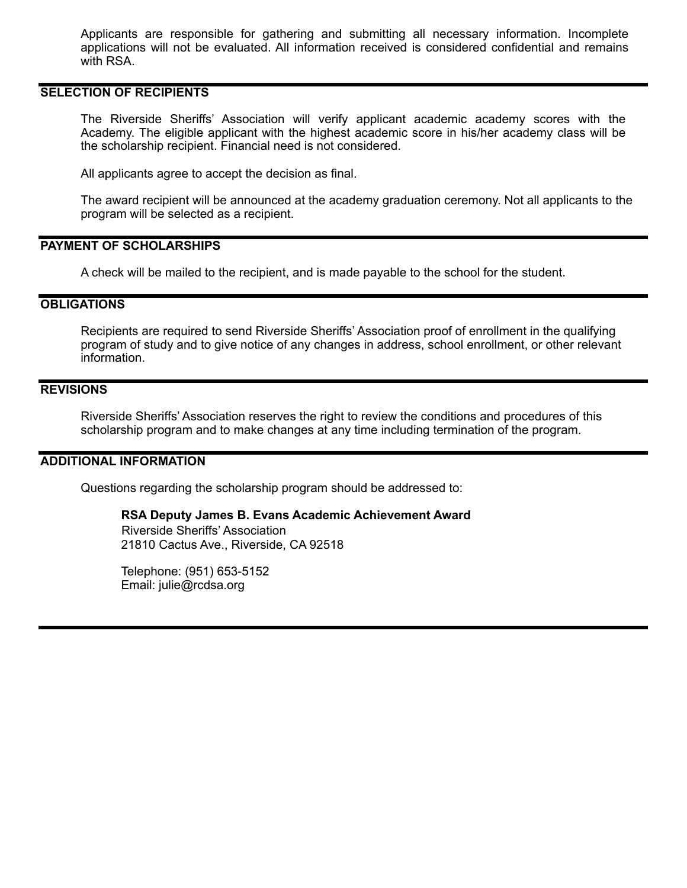Applicants are responsible for gathering and submitting all necessary information. Incomplete applications will not be evaluated. All information received is considered confidential and remains with RSA.

## **SELECTION OF RECIPIENTS**

The Riverside Sheriffs' Association will verify applicant academic academy scores with the Academy. The eligible applicant with the highest academic score in his/her academy class will be the scholarship recipient. Financial need is not considered.

All applicants agree to accept the decision as final.

The award recipient will be announced at the academy graduation ceremony. Not all applicants to the program will be selected as a recipient.

#### **PAYMENT OF SCHOLARSHIPS**

A check will be mailed to the recipient, and is made payable to the school for the student.

### **OBLIGATIONS**

Recipients are required to send Riverside Sheriffs' Association proof of enrollment in the qualifying program of study and to give notice of any changes in address, school enrollment, or other relevant information.

## **REVISIONS**

Riverside Sheriffs' Association reserves the right to review the conditions and procedures of this scholarship program and to make changes at any time including termination of the program.

#### **ADDITIONAL INFORMATION**

Questions regarding the scholarship program should be addressed to:

#### **RSA Deputy James B. Evans Academic Achievement Award**

 Riverside Sheriffs' Association 21810 Cactus Ave., Riverside, CA 92518

Telephone: (951) 653-5152 Email: julie@rcdsa.org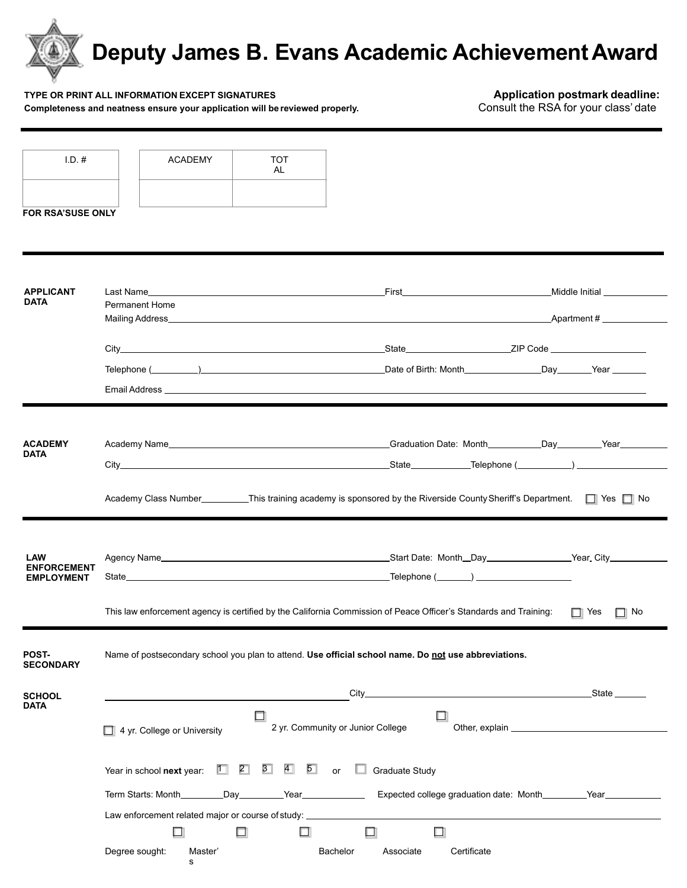

#### **TYPE OR PRINT ALL INFORMATION EXCEPT SIGNATURES**<br>Completeness and neatness ensure your application will be reviewed properly. **Application postmark deadline:** Consult the RSA for your class' date Completeness and neatness ensure your application will be reviewed properly.

| $1.D.$ #                                       | <b>ACADEMY</b>                                                                                                                                                                                                                       | <b>TOT</b>                            |                                                                                           |                                |  |  |
|------------------------------------------------|--------------------------------------------------------------------------------------------------------------------------------------------------------------------------------------------------------------------------------------|---------------------------------------|-------------------------------------------------------------------------------------------|--------------------------------|--|--|
|                                                |                                                                                                                                                                                                                                      | AL                                    |                                                                                           |                                |  |  |
|                                                |                                                                                                                                                                                                                                      |                                       |                                                                                           |                                |  |  |
| FOR RSA'SUSE ONLY                              |                                                                                                                                                                                                                                      |                                       |                                                                                           |                                |  |  |
|                                                |                                                                                                                                                                                                                                      |                                       |                                                                                           |                                |  |  |
|                                                |                                                                                                                                                                                                                                      |                                       |                                                                                           |                                |  |  |
| <b>APPLICANT</b><br><b>DATA</b>                |                                                                                                                                                                                                                                      |                                       |                                                                                           | Middle Initial _______________ |  |  |
|                                                | <b>Permanent Home</b>                                                                                                                                                                                                                |                                       |                                                                                           |                                |  |  |
|                                                |                                                                                                                                                                                                                                      |                                       |                                                                                           |                                |  |  |
|                                                |                                                                                                                                                                                                                                      |                                       |                                                                                           |                                |  |  |
|                                                | Telephone ( The Contract Contract Contract Contract Contract Contract Contract Contract Contract Contract Contract Contract Contract Contract Contract Contract Contract Contract Contract Contract Contract Contract Contract       |                                       |                                                                                           |                                |  |  |
|                                                | Email Address <b>Example 2018 Contract Contract Contract Contract Contract Contract Contract Contract Contract Contract Contract Contract Contract Contract Contract Contract Contract Contract Contract Contract Contract Con</b>   |                                       |                                                                                           |                                |  |  |
|                                                |                                                                                                                                                                                                                                      |                                       |                                                                                           |                                |  |  |
|                                                |                                                                                                                                                                                                                                      |                                       |                                                                                           |                                |  |  |
| <b>ACADEMY</b><br><b>DATA</b>                  |                                                                                                                                                                                                                                      |                                       |                                                                                           |                                |  |  |
|                                                |                                                                                                                                                                                                                                      |                                       |                                                                                           |                                |  |  |
|                                                | Academy Class Number__________This training academy is sponsored by the Riverside County Sheriff's Department. In Yes In No                                                                                                          |                                       |                                                                                           |                                |  |  |
|                                                |                                                                                                                                                                                                                                      |                                       |                                                                                           |                                |  |  |
|                                                |                                                                                                                                                                                                                                      |                                       |                                                                                           |                                |  |  |
| LAW<br><b>ENFORCEMENT</b><br><b>EMPLOYMENT</b> | Agency Name <b>Manual Contract Contract Contract Contract Contract Contract Contract Contract Contract Contract Contract Contract Contract Contract Contract Contract Contract Contract Contract Contract Contract Contract Cont</b> |                                       |                                                                                           |                                |  |  |
|                                                |                                                                                                                                                                                                                                      |                                       |                                                                                           |                                |  |  |
|                                                |                                                                                                                                                                                                                                      |                                       |                                                                                           |                                |  |  |
|                                                | This law enforcement agency is certified by the California Commission of Peace Officer's Standards and Training:<br>$\Box$ Yes<br>$\Box$ No                                                                                          |                                       |                                                                                           |                                |  |  |
|                                                |                                                                                                                                                                                                                                      |                                       |                                                                                           |                                |  |  |
| POST-<br><b>SECONDARY</b>                      | Name of postsecondary school you plan to attend. Use official school name. Do not use abbreviations.                                                                                                                                 |                                       |                                                                                           |                                |  |  |
|                                                |                                                                                                                                                                                                                                      |                                       |                                                                                           |                                |  |  |
| <b>SCHOOL</b><br>DATA                          |                                                                                                                                                                                                                                      | $City_$                               | the control of the control of the control of the control of the control of the control of | State                          |  |  |
|                                                | 2 yr. Community or Junior College                                                                                                                                                                                                    |                                       |                                                                                           |                                |  |  |
|                                                | 4 yr. College or University                                                                                                                                                                                                          |                                       |                                                                                           |                                |  |  |
|                                                | 2∃<br>ſП.<br>Year in school next year:                                                                                                                                                                                               | 3 <sup>1</sup><br>$\overline{4}$ 5 or | $\Box$ Graduate Study                                                                     |                                |  |  |
|                                                |                                                                                                                                                                                                                                      |                                       |                                                                                           |                                |  |  |
|                                                | Term Starts: Month________Day________Year________________Expected college graduation date: Month________Year__________                                                                                                               |                                       |                                                                                           |                                |  |  |
|                                                | Law enforcement related major or course of study: ______________________________                                                                                                                                                     |                                       |                                                                                           |                                |  |  |
|                                                | □<br>ш                                                                                                                                                                                                                               | □                                     | ◻<br>□                                                                                    |                                |  |  |
|                                                | Degree sought:<br>Master'<br>s.                                                                                                                                                                                                      | Bachelor                              | Certificate<br>Associate                                                                  |                                |  |  |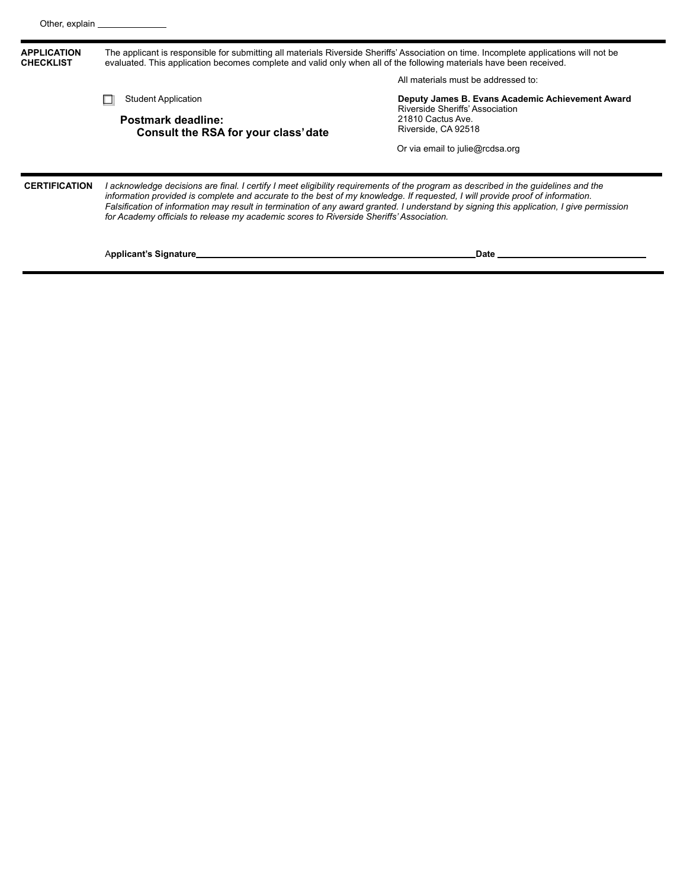| <b>APPLICATION</b><br><b>CHECKLIST</b> | The applicant is responsible for submitting all materials Riverside Sheriffs' Association on time. Incomplete applications will not be<br>evaluated. This application becomes complete and valid only when all of the following materials have been received.                                                                                                                                                                                                                                              |                                                                                                                                                                    |  |  |
|----------------------------------------|------------------------------------------------------------------------------------------------------------------------------------------------------------------------------------------------------------------------------------------------------------------------------------------------------------------------------------------------------------------------------------------------------------------------------------------------------------------------------------------------------------|--------------------------------------------------------------------------------------------------------------------------------------------------------------------|--|--|
|                                        |                                                                                                                                                                                                                                                                                                                                                                                                                                                                                                            | All materials must be addressed to:                                                                                                                                |  |  |
|                                        | <b>Student Application</b><br>Postmark deadline:<br>Consult the RSA for your class' date                                                                                                                                                                                                                                                                                                                                                                                                                   | Deputy James B. Evans Academic Achievement Award<br>Riverside Sheriffs' Association<br>21810 Cactus Ave.<br>Riverside, CA 92518<br>Or via email to julie@rcdsa.org |  |  |
| <b>CERTIFICATION</b>                   | l acknowledge decisions are final. I certify I meet eligibility requirements of the program as described in the guidelines and the<br>information provided is complete and accurate to the best of my knowledge. If requested, I will provide proof of information.<br>Falsification of information may result in termination of any award granted. I understand by signing this application, I give permission<br>for Academy officials to release my academic scores to Riverside Sheriffs' Association. |                                                                                                                                                                    |  |  |
|                                        | Applicant's Signature_                                                                                                                                                                                                                                                                                                                                                                                                                                                                                     | Date                                                                                                                                                               |  |  |